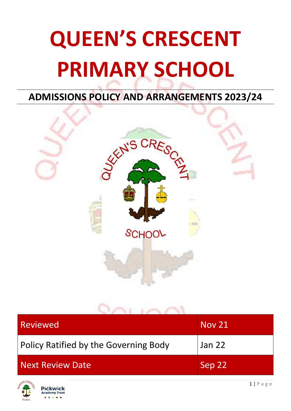# **QUEEN'S CRESCENT PRIMARY SCHOOL**

**ADMISSIONS POLICY AND ARRANGEMENTS 2023/24**



| Reviewed                                     | <b>Nov 21</b> |
|----------------------------------------------|---------------|
| <b>Policy Ratified by the Governing Body</b> | <b>Jan 22</b> |
| <b>Next Review Date</b>                      | Sep 22        |

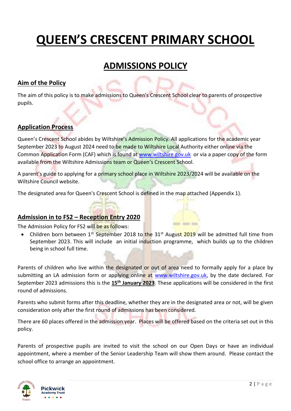## **QUEEN'S CRESCENT PRIMARY SCHOOL**

### **ADMISSIONS POLICY**

#### **Aim of the Policy**

The aim of this policy is to make admissions to Queen's Crescent School clear to parents of prospective pupils.

#### **Application Process**

Queen's Crescent School abides by Wiltshire's Admission Policy. All applications for the academic year September 2023 to August 2024 need to be made to Wiltshire Local Authority either online via the Common Application Form (CAF) which is found at [www.wiltshire.gov.uk](http://www.wiltshire.gov.uk/) or via a paper copy of the form available from the Wiltshire Admissions team or Queen's Crescent School.

A parent's guide to applying for a primary school place in Wiltshire 2023/2024 will be available on the Wiltshire Council website.

The designated area for Queen's Crescent School is defined in the map attached (Appendix 1).

#### **Admission in to FS2 – Reception Entry 2020**

The Admission Policy for FS2 will be as follows:

• Children born between  $1^{st}$  September 2018 to the  $31^{st}$  August 2019 will be admitted full time from September 2023. This will include an initial induction programme, which builds up to the children being in school full time.

Parents of children who live within the designated or out of area need to formally apply for a place by submitting an LA admission form or applying online at [www.wiltshire.gov.uk,](http://www.wiltshire.gov.uk/) by the date declared. For September 2023 admissions this is the **15th January 2023**. These applications will be considered in the first round of admissions.

Parents who submit forms after this deadline, whether they are in the designated area or not, will be given consideration only after the first round of admissions has been considered.

There are 60 places offered in the admission year. Places will be offered based on the criteria set out in this policy.

Parents of prospective pupils are invited to visit the school on our Open Days or have an individual appointment, where a member of the Senior Leadership Team will show them around. Please contact the school office to arrange an appointment.

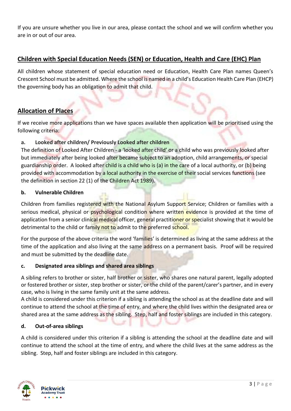If you are unsure whether you live in our area, please contact the school and we will confirm whether you are in or out of our area.

#### **Children with Special Education Needs (SEN) or Education, Health and Care (EHC) Plan**

All children whose statement of special education need or Education, Health Care Plan names Queen's Crescent School must be admitted. Where the school is named in a child's Education Health Care Plan (EHCP) the governing body has an obligation to admit that child.

#### **Allocation of Places**

If we receive more applications than we have spaces available then application will be prioritised using the following criteria:

#### **a. Looked after children/ Previously Looked after children**

The definition of Looked After Children - a 'looked after child' or a child who was previously looked after but immediately after being looked after became subject to an adoption, child arrangements, or special guardianship order. A looked after child is a child who is (a) in the care of a local authority, or (b) being provided with accommodation by a local authority in the exercise of their social services functions (see the definition in section 22 (1) of the Children Act 1989).

#### **b. Vulnerable Children**

Children from families registered with the National Asylum Support Service; Children or families with a serious medical, physical or psychological condition where written evidence is provided at the time of application from a senior clinical medical officer, general practitioner or specialist showing that it would be detrimental to the child or family not to admit to the preferred school.

For the purpose of the above criteria the word 'families' is determined as living at the same address at the time of the application and also living at the same address on a permanent basis. Proof will be required and must be submitted by the deadline date.

#### **c. Designated area siblings and shared area siblings**

A sibling refers to brother or sister, half brother or sister, who shares one natural parent, legally adopted or fostered brother or sister, step brother or sister, or the child of the parent/carer's partner, and in every case, who is living in the same family unit at the same address.

A child is considered under this criterion if a sibling is attending the school as at the deadline date and will continue to attend the school at the time of entry, and where the child lives within the designated area or shared area at the same address as the sibling. Step, half and foster siblings are included in this category.

#### **d. Out-of-area siblings**

A child is considered under this criterion if a sibling is attending the school at the deadline date and will continue to attend the school at the time of entry, and where the child lives at the same address as the sibling. Step, half and foster siblings are included in this category.

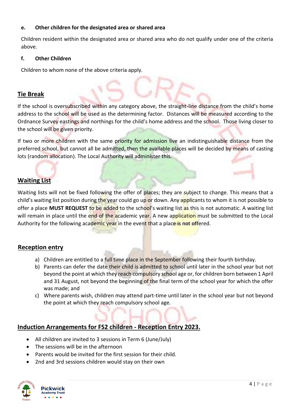#### **e. Other children for the designated area or shared area**

Children resident within the designated area or shared area who do not qualify under one of the criteria above.

#### **f. Other Children**

Children to whom none of the above criteria apply.

#### **Tie Break**

If the school is oversubscribed within any category above, the straight-line distance from the child's home address to the school will be used as the determining factor. Distances will be measured according to the Ordnance Survey eastings and northings for the child's home address and the school. Those living closer to the school will be given priority.

If two or more children with the same priority for admission live an indistinguishable distance from the preferred school, but cannot all be admitted, then the available places will be decided by means of casting lots (random allocation). The Local Authority will administer this.

#### **Waiting List**

Waiting lists will not be fixed following the offer of places; they are subject to change. This means that a child's waiting list position during the year could go up or down. Any applicants to whom it is not possible to offer a place **MUST REQUEST** to be added to the school's waiting list as this is not automatic. A waiting list will remain in place until the end of the academic year. A new application must be submitted to the Local Authority for the following academic year in the event that a place is not offered.

#### **Reception entry**

- a) Children are entitled to a full time place in the September following their fourth birthday.
- b) Parents can defer the date their child is admitted to school until later in the school year but not beyond the point at which they reach compulsory school age or, for children born between 1 April and 31 August, not beyond the beginning of the final term of the school year for which the offer was made; and
- c) Where parents wish, children may attend part-time until later in the school year but not beyond the point at which they reach compulsory school age.

#### **Induction Arrangements for FS2 children - Reception Entry 2023.**

- All children are invited to 3 sessions in Term 6 (June/July)
- The sessions will be in the afternoon
- Parents would be invited for the first session for their child.
- 2nd and 3rd sessions children would stay on their own

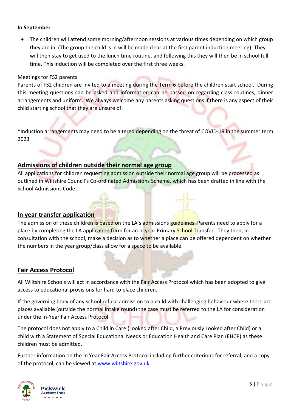#### **In September**

 The children will attend some morning/afternoon sessions at various times depending on which group they are in. (The group the child is in will be made clear at the first parent induction meeting). They will then stay to get used to the lunch time routine, and following this they will then be in school full time. This induction will be completed over the first three weeks.

#### Meetings for FS2 parents

Parents of FS2 children are invited to a meeting during the Term 6 before the children start school. During this meeting questions can be asked and information can be passed on regarding class routines, dinner arrangements and uniform. We always welcome any parents asking questions if there is any aspect of their child starting school that they are unsure of.

\*Induction arrangements may need to be altered depending on the threat of COVID-19 in the summer term 2023

#### **Admissions of children outside their normal age group**

All applications for children requesting admission outside their normal age group will be processed as outlined in Wiltshire Council's Co-ordinated Admissions Scheme, which has been drafted in line with the School Admissions Code.

#### **In year transfer application**

The admission of these children is based on the LA's admissions guidelines. Parents need to apply for a place by completing the LA application form for an in year Primary School Transfer. They then, in consultation with the school, make a decision as to whether a place can be offered dependent on whether the numbers in the year group/class allow for a space to be available.

#### **Fair Access Protocol**

All Wiltshire Schools will act in accordance with the Fair Access Protocol which has been adopted to give access to educational provisions for hard to place children.

If the governing body of any school refuse admission to a child with challenging behaviour where there are places available (outside the normal intake round) the case must be referred to the LA for consideration under the In-Year Fair Access Protocol.

The protocol does not apply to a Child in Care (Looked after Child, a Previously Looked after Child) or a child with a Statement of Special Educational Needs or Education Health and Care Plan (EHCP) as these children must be admitted.

Further information on the In Year Fair Access Protocol including further criterions for referral, and a copy of the protocol, can be viewed at [www.wiltshire.gov.uk.](http://www.wiltshire.gov.uk/)

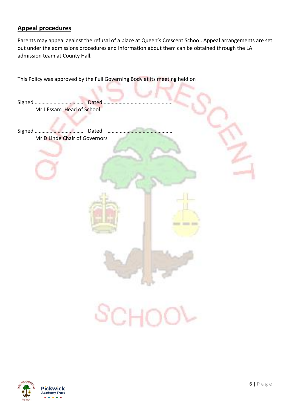#### **Appeal procedures**

Parents may appeal against the refusal of a place at Queen's Crescent School. Appeal arrangements are set out under the admissions procedures and information about them can be obtained through the LA admission team at County Hall.

This Policy was approved by the Full Governing Body at its meeting held on .

Signed …………………………………… Dated…… Mr J Essam Head of School

Signed ……………………………… Dated …………………………………………. Mr D Linde Chair of Governors